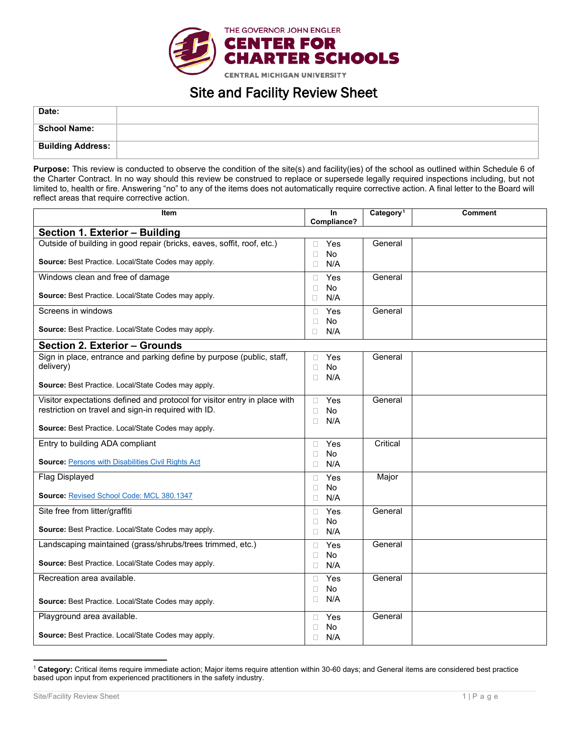

## Site and Facility Review Sheet

| Date:                    |  |
|--------------------------|--|
| <b>School Name:</b>      |  |
| <b>Building Address:</b> |  |

**Purpose:** This review is conducted to observe the condition of the site(s) and facility(ies) of the school as outlined within Schedule 6 of the Charter Contract. In no way should this review be construed to replace or supersede legally required inspections including, but not limited to, health or fire. Answering "no" to any of the items does not automatically require corrective action. A final letter to the Board will reflect areas that require corrective action.

| <b>Item</b>                                                                                                                      | In<br>Compliance?                | Category <sup>1</sup> | <b>Comment</b> |  |  |
|----------------------------------------------------------------------------------------------------------------------------------|----------------------------------|-----------------------|----------------|--|--|
| Section 1. Exterior - Building                                                                                                   |                                  |                       |                |  |  |
| Outside of building in good repair (bricks, eaves, soffit, roof, etc.)                                                           | Yes<br>П                         | General               |                |  |  |
| Source: Best Practice. Local/State Codes may apply.                                                                              | No<br>П<br>N/A<br>П              |                       |                |  |  |
| Windows clean and free of damage                                                                                                 | Yes<br>П                         | General               |                |  |  |
| <b>Source:</b> Best Practice. Local/State Codes may apply.                                                                       | <b>No</b><br>П<br>N/A<br>П.      |                       |                |  |  |
| Screens in windows                                                                                                               | Yes<br>п                         | General               |                |  |  |
| <b>Source:</b> Best Practice. Local/State Codes may apply.                                                                       | No<br>П<br>N/A<br>П.             |                       |                |  |  |
| <b>Section 2. Exterior - Grounds</b>                                                                                             |                                  |                       |                |  |  |
| Sign in place, entrance and parking define by purpose (public, staff,<br>delivery)                                               | Yes<br>П<br>No<br>п<br>N/A<br>П. | General               |                |  |  |
| Source: Best Practice. Local/State Codes may apply.                                                                              |                                  |                       |                |  |  |
| Visitor expectations defined and protocol for visitor entry in place with<br>restriction on travel and sign-in required with ID. | Yes<br>П<br>No<br>П<br>N/A<br>П  | General               |                |  |  |
| Source: Best Practice. Local/State Codes may apply.                                                                              |                                  |                       |                |  |  |
| Entry to building ADA compliant                                                                                                  | Yes<br>П.                        | Critical              |                |  |  |
| <b>Source: Persons with Disabilities Civil Rights Act</b>                                                                        | No.<br>П<br>N/A<br>П             |                       |                |  |  |
| Flag Displayed                                                                                                                   | Yes<br>П.                        | Major                 |                |  |  |
| Source: Revised School Code: MCL 380.1347                                                                                        | No<br>П<br>N/A<br>П.             |                       |                |  |  |
| Site free from litter/graffiti                                                                                                   | Yes<br>П                         | General               |                |  |  |
| Source: Best Practice. Local/State Codes may apply.                                                                              | No<br>П<br>N/A<br>0              |                       |                |  |  |
| Landscaping maintained (grass/shrubs/trees trimmed, etc.)                                                                        | Yes<br>П                         | General               |                |  |  |
| Source: Best Practice. Local/State Codes may apply.                                                                              | No<br>П<br>N/A<br>П.             |                       |                |  |  |
| Recreation area available.                                                                                                       | Yes<br>П.                        | General               |                |  |  |
| Source: Best Practice. Local/State Codes may apply.                                                                              | No<br>П<br>$\Box$<br>N/A         |                       |                |  |  |
| Playground area available.                                                                                                       | Yes<br>П.                        | General               |                |  |  |
| Source: Best Practice. Local/State Codes may apply.                                                                              | No<br>П<br>N/A<br>П              |                       |                |  |  |

<span id="page-0-0"></span><sup>1</sup> **Category:** Critical items require immediate action; Major items require attention within 30-60 days; and General items are considered best practice based upon input from experienced practitioners in the safety industry.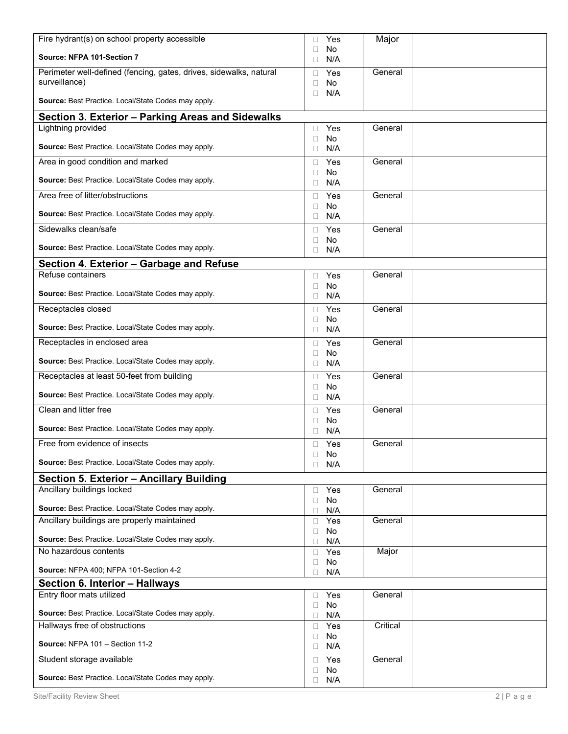| Fire hydrant(s) on school property accessible                      | Yes<br>П                             | Major    |  |
|--------------------------------------------------------------------|--------------------------------------|----------|--|
| Source: NFPA 101-Section 7                                         | No<br>П<br>N/A<br>$\Box$             |          |  |
| Perimeter well-defined (fencing, gates, drives, sidewalks, natural | Yes<br>п                             | General  |  |
| surveillance)                                                      | <b>No</b><br>П.                      |          |  |
| Source: Best Practice. Local/State Codes may apply.                | N/A<br>$\Box$                        |          |  |
| Section 3. Exterior - Parking Areas and Sidewalks                  |                                      |          |  |
| Lightning provided                                                 | Yes<br>□                             | General  |  |
| Source: Best Practice. Local/State Codes may apply.                | <b>No</b><br>$\Box$<br>N/A<br>$\Box$ |          |  |
| Area in good condition and marked                                  | Yes<br>П.                            | General  |  |
| Source: Best Practice. Local/State Codes may apply.                | <b>No</b><br>П.<br>N/A<br>0          |          |  |
| Area free of litter/obstructions                                   | Yes<br>П.                            | General  |  |
| Source: Best Practice. Local/State Codes may apply.                | No<br>$\Box$<br>N/A<br>$\Box$        |          |  |
| Sidewalks clean/safe                                               | Yes<br>$\Box$                        | General  |  |
| Source: Best Practice. Local/State Codes may apply.                | No<br>$\Box$<br>N/A<br>0             |          |  |
| Section 4. Exterior - Garbage and Refuse                           |                                      |          |  |
| Refuse containers                                                  | Yes<br>П.                            | General  |  |
|                                                                    | No<br>□                              |          |  |
| Source: Best Practice. Local/State Codes may apply.                | N/A<br>П.                            |          |  |
| Receptacles closed                                                 | Yes<br>П                             | General  |  |
| Source: Best Practice. Local/State Codes may apply.                | No<br>П.<br>N/A<br>$\Box$            |          |  |
| Receptacles in enclosed area                                       | Yes<br>П.                            | General  |  |
| Source: Best Practice. Local/State Codes may apply.                | No<br>П<br>N/A<br>□.                 |          |  |
| Receptacles at least 50-feet from building                         | Yes<br>П.                            | General  |  |
| Source: Best Practice. Local/State Codes may apply.                | No<br>п<br>N/A<br>0                  |          |  |
| Clean and litter free                                              | Yes<br>П.                            | General  |  |
| Source: Best Practice. Local/State Codes may apply.                | No<br>$\Box$<br>N/A<br>$\Box$        |          |  |
| Free from evidence of insects                                      | Yes<br>П                             | General  |  |
|                                                                    | No<br>$\Box$                         |          |  |
| Source: Best Practice. Local/State Codes may apply.                | N/A<br>П                             |          |  |
| Section 5. Exterior - Ancillary Building                           |                                      |          |  |
| Ancillary buildings locked                                         | Yes<br>0<br>No<br>$\Box$             | General  |  |
| Source: Best Practice. Local/State Codes may apply.                | N/A<br>$\Box$                        |          |  |
| Ancillary buildings are properly maintained                        | Yes<br>$\Box$                        | General  |  |
| Source: Best Practice. Local/State Codes may apply.                | No<br>$\Box$<br>N/A<br>0             |          |  |
| No hazardous contents                                              | Yes<br>$\Box$                        | Major    |  |
| Source: NFPA 400; NFPA 101-Section 4-2                             | No<br>$\Box$                         |          |  |
| Section 6. Interior - Hallways                                     | N/A<br>0                             |          |  |
| Entry floor mats utilized                                          | Yes<br>0                             | General  |  |
|                                                                    | No<br>$\Box$                         |          |  |
| Source: Best Practice. Local/State Codes may apply.                | N/A<br>$\Box$                        |          |  |
| Hallways free of obstructions                                      | Yes<br>$\Box$<br>No<br>$\Box$        | Critical |  |
| Source: NFPA 101 - Section 11-2                                    | N/A<br>$\Box$                        |          |  |
| Student storage available                                          | Yes<br>$\Box$<br>No<br>0             | General  |  |
| Source: Best Practice. Local/State Codes may apply.                | $\Box$<br>N/A                        |          |  |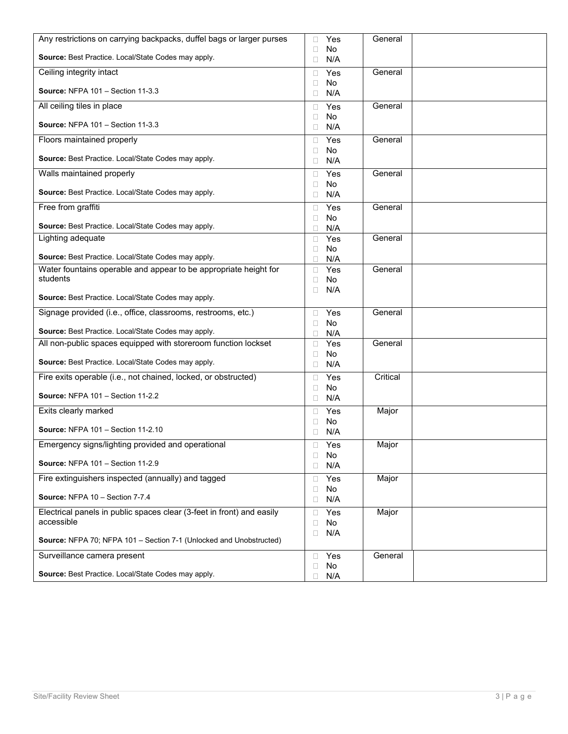| Any restrictions on carrying backpacks, duffel bags or larger purses  | Yes<br>п                        | General  |  |
|-----------------------------------------------------------------------|---------------------------------|----------|--|
| Source: Best Practice. Local/State Codes may apply.                   | No<br>П<br>N/A<br>$\Box$        |          |  |
| Ceiling integrity intact                                              | Yes<br>П.                       | General  |  |
| <b>Source: NFPA 101 - Section 11-3.3</b>                              | <b>No</b><br>П<br>N/A<br>$\Box$ |          |  |
| All ceiling tiles in place                                            | Yes<br>П.                       | General  |  |
| <b>Source: NFPA 101 - Section 11-3.3</b>                              | No<br>П<br>N/A<br>$\Box$        |          |  |
| Floors maintained properly                                            | Yes<br>П                        | General  |  |
| Source: Best Practice. Local/State Codes may apply.                   | <b>No</b><br>П<br>N/A<br>$\Box$ |          |  |
| Walls maintained properly                                             | Yes<br>П                        | General  |  |
| Source: Best Practice. Local/State Codes may apply.                   | No<br>п<br>N/A<br>$\Box$        |          |  |
| Free from graffiti                                                    | Yes<br>$\Box$                   | General  |  |
| Source: Best Practice. Local/State Codes may apply.                   | No<br>П<br>N/A<br>п             |          |  |
| Lighting adequate                                                     | Yes<br>П                        | General  |  |
| Source: Best Practice. Local/State Codes may apply.                   | No<br>□<br>N/A                  |          |  |
| Water fountains operable and appear to be appropriate height for      | Yes<br>$\Box$                   | General  |  |
| students                                                              | <b>No</b><br>П                  |          |  |
| Source: Best Practice. Local/State Codes may apply.                   | N/A<br>П.                       |          |  |
| Signage provided (i.e., office, classrooms, restrooms, etc.)          | Yes<br>П.                       | General  |  |
| Source: Best Practice. Local/State Codes may apply.                   | No<br>П<br>N/A<br>$\Box$        |          |  |
| All non-public spaces equipped with storeroom function lockset        | Yes<br>$\Box$                   | General  |  |
| Source: Best Practice. Local/State Codes may apply.                   | No<br>□<br>N/A<br>$\Box$        |          |  |
| Fire exits operable (i.e., not chained, locked, or obstructed)        | Yes<br>□                        | Critical |  |
| <b>Source: NFPA 101 - Section 11-2.2</b>                              | No<br>□<br>N/A<br>$\Box$        |          |  |
| Exits clearly marked                                                  | Yes<br>П                        | Major    |  |
| <b>Source: NFPA 101 - Section 11-2.10</b>                             | No<br>П<br>N/A<br>0             |          |  |
| Emergency signs/lighting provided and operational                     | Yes<br>$\Box$                   | Major    |  |
| <b>Source: NFPA 101 - Section 11-2.9</b>                              | No<br>$\Box$<br>N/A<br>$\Box$   |          |  |
| Fire extinguishers inspected (annually) and tagged                    | Yes<br>□.                       | Major    |  |
| Source: NFPA 10 - Section 7-7.4                                       | No<br>$\Box$<br>N/A<br>$\Box$   |          |  |
| Electrical panels in public spaces clear (3-feet in front) and easily | Yes<br>$\Box$                   | Major    |  |
| accessible                                                            | No<br>$\Box$<br>N/A<br>$\Box$   |          |  |
| Source: NFPA 70; NFPA 101 - Section 7-1 (Unlocked and Unobstructed)   |                                 |          |  |
| Surveillance camera present                                           | Yes<br>$\Box$<br>No<br>$\Box$   | General  |  |
| Source: Best Practice. Local/State Codes may apply.                   | N/A                             |          |  |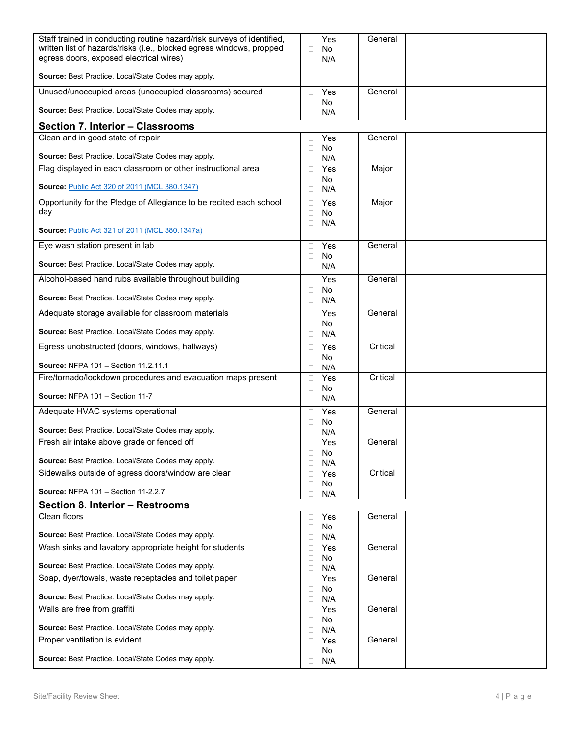| Staff trained in conducting routine hazard/risk surveys of identified,<br>written list of hazards/risks (i.e., blocked egress windows, propped | Yes<br>П                             | General  |  |
|------------------------------------------------------------------------------------------------------------------------------------------------|--------------------------------------|----------|--|
| egress doors, exposed electrical wires)                                                                                                        | <b>No</b><br>П<br>N/A<br>П           |          |  |
| Source: Best Practice. Local/State Codes may apply.                                                                                            |                                      |          |  |
| Unused/unoccupied areas (unoccupied classrooms) secured                                                                                        | Yes<br>П                             | General  |  |
|                                                                                                                                                | <b>No</b><br>П                       |          |  |
| Source: Best Practice. Local/State Codes may apply.                                                                                            | N/A<br>$\Box$                        |          |  |
| Section 7. Interior - Classrooms                                                                                                               |                                      |          |  |
| Clean and in good state of repair                                                                                                              | Yes<br>П<br><b>No</b><br>$\Box$      | General  |  |
| Source: Best Practice. Local/State Codes may apply.                                                                                            | N/A<br>$\Box$                        |          |  |
| Flag displayed in each classroom or other instructional area                                                                                   | Yes<br>П                             | Major    |  |
| Source: Public Act 320 of 2011 (MCL 380.1347)                                                                                                  | <b>No</b><br>п<br>N/A<br>$\Box$      |          |  |
| Opportunity for the Pledge of Allegiance to be recited each school                                                                             | Yes<br>$\Box$                        | Major    |  |
| day                                                                                                                                            | <b>No</b><br>$\Box$                  |          |  |
| <b>Source: Public Act 321 of 2011 (MCL 380.1347a)</b>                                                                                          | N/A<br>$\Box$                        |          |  |
| Eye wash station present in lab                                                                                                                | Yes<br>$\Box$                        | General  |  |
| Source: Best Practice. Local/State Codes may apply.                                                                                            | <b>No</b><br>П<br>N/A<br>$\Box$      |          |  |
| Alcohol-based hand rubs available throughout building                                                                                          | Yes<br>П                             | General  |  |
|                                                                                                                                                | <b>No</b><br>П                       |          |  |
| Source: Best Practice. Local/State Codes may apply.                                                                                            | N/A<br>$\Box$                        |          |  |
| Adequate storage available for classroom materials                                                                                             | Yes<br>$\Box$<br><b>No</b>           | General  |  |
| Source: Best Practice. Local/State Codes may apply.                                                                                            | П<br>N/A<br>$\Box$                   |          |  |
| Egress unobstructed (doors, windows, hallways)                                                                                                 | Yes<br>П                             | Critical |  |
| Source: NFPA 101 - Section 11.2.11.1                                                                                                           | <b>No</b><br>П<br>N/A<br>$\Box$      |          |  |
| Fire/tornado/lockdown procedures and evacuation maps present                                                                                   | Yes<br>$\Box$                        | Critical |  |
| Source: NFPA 101 - Section 11-7                                                                                                                | <b>No</b><br>$\Box$<br>N/A<br>$\Box$ |          |  |
| Adequate HVAC systems operational                                                                                                              | Yes<br>$\Box$                        | General  |  |
|                                                                                                                                                | No<br>П                              |          |  |
| Source: Best Practice. Local/State Codes may apply.<br>Fresh air intake above grade or fenced off                                              | N/A<br>□<br>Yes                      | General  |  |
|                                                                                                                                                | $\Box$<br>No<br>$\Box$               |          |  |
| Source: Best Practice. Local/State Codes may apply.                                                                                            | N/A<br>П                             |          |  |
| Sidewalks outside of egress doors/window are clear                                                                                             | Yes<br>$\Box$<br>No<br>$\Box$        | Critical |  |
| <b>Source: NFPA 101 - Section 11-2.2.7</b>                                                                                                     | N/A<br>П                             |          |  |
| Section 8. Interior - Restrooms                                                                                                                |                                      |          |  |
| Clean floors                                                                                                                                   | Yes<br>$\Box$                        | General  |  |
| Source: Best Practice. Local/State Codes may apply.                                                                                            | No<br>$\Box$<br>N/A<br>$\Box$        |          |  |
| Wash sinks and lavatory appropriate height for students                                                                                        | Yes<br>$\Box$                        | General  |  |
| Source: Best Practice. Local/State Codes may apply.                                                                                            | No<br>$\Box$<br>N/A<br>$\Box$        |          |  |
| Soap, dyer/towels, waste receptacles and toilet paper                                                                                          | Yes<br>$\Box$                        | General  |  |
| Source: Best Practice. Local/State Codes may apply.                                                                                            | No<br>$\Box$                         |          |  |
| Walls are free from graffiti                                                                                                                   | N/A<br>$\Box$<br>Yes<br>$\Box$       | General  |  |
|                                                                                                                                                | No<br>$\Box$                         |          |  |
| Source: Best Practice. Local/State Codes may apply.<br>Proper ventilation is evident                                                           | N/A<br>$\Box$<br>Yes                 | General  |  |
|                                                                                                                                                | $\Box$<br>No<br>$\Box$               |          |  |
| Source: Best Practice. Local/State Codes may apply.                                                                                            | N/A<br>$\Box$                        |          |  |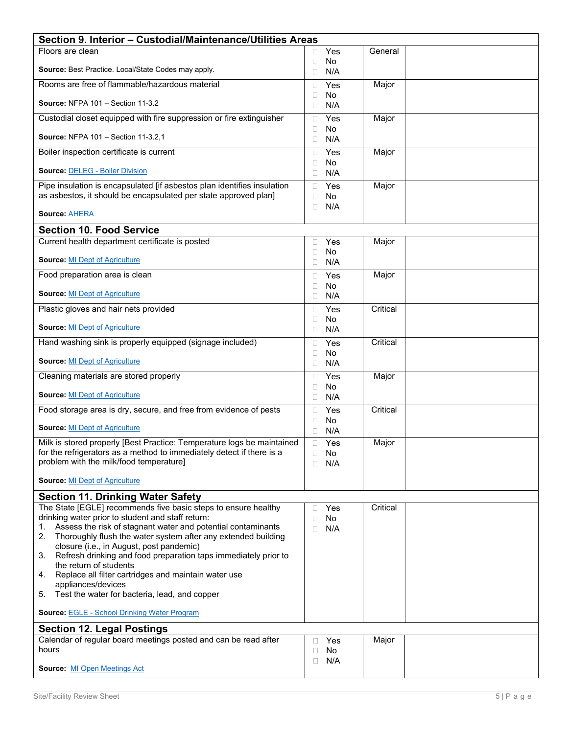| Section 9. Interior - Custodial/Maintenance/Utilities Areas                                                                                                                                                                                                      |                                             |          |  |  |
|------------------------------------------------------------------------------------------------------------------------------------------------------------------------------------------------------------------------------------------------------------------|---------------------------------------------|----------|--|--|
| Floors are clean                                                                                                                                                                                                                                                 | Yes                                         | General  |  |  |
| Source: Best Practice. Local/State Codes may apply.                                                                                                                                                                                                              | No<br>П<br>N/A<br>П                         |          |  |  |
| Rooms are free of flammable/hazardous material                                                                                                                                                                                                                   | Yes<br>П                                    | Major    |  |  |
| <b>Source: NFPA 101 - Section 11-3.2</b>                                                                                                                                                                                                                         | No<br>П<br>N/A<br>П                         |          |  |  |
| Custodial closet equipped with fire suppression or fire extinguisher                                                                                                                                                                                             | Yes<br>П                                    | Major    |  |  |
| <b>Source: NFPA 101 - Section 11-3.2.1</b>                                                                                                                                                                                                                       | No<br>П<br>N/A<br>П                         |          |  |  |
| Boiler inspection certificate is current                                                                                                                                                                                                                         | Yes<br>П<br>No<br>П                         | Major    |  |  |
| <b>Source: DELEG - Boiler Division</b>                                                                                                                                                                                                                           | N/A<br>П.                                   |          |  |  |
| Pipe insulation is encapsulated [if asbestos plan identifies insulation<br>as asbestos, it should be encapsulated per state approved plan]                                                                                                                       | Yes<br>П<br>No<br>П<br>N/A<br>П             | Major    |  |  |
| Source: <b>AHERA</b>                                                                                                                                                                                                                                             |                                             |          |  |  |
| <b>Section 10. Food Service</b>                                                                                                                                                                                                                                  |                                             |          |  |  |
| Current health department certificate is posted                                                                                                                                                                                                                  | Yes<br>П                                    | Major    |  |  |
| <b>Source: MI Dept of Agriculture</b>                                                                                                                                                                                                                            | No<br>П<br>N/A<br>П                         |          |  |  |
| Food preparation area is clean                                                                                                                                                                                                                                   | Yes<br>П<br>No<br>П                         | Major    |  |  |
| <b>Source: MI Dept of Agriculture</b>                                                                                                                                                                                                                            | N/A<br>П                                    |          |  |  |
| Plastic gloves and hair nets provided                                                                                                                                                                                                                            | Yes<br>П<br>No<br>П                         | Critical |  |  |
| <b>Source: MI Dept of Agriculture</b>                                                                                                                                                                                                                            | N/A<br>П                                    |          |  |  |
| Hand washing sink is properly equipped (signage included)                                                                                                                                                                                                        | Yes<br>П<br>No<br>$\Box$                    | Critical |  |  |
| <b>Source: MI Dept of Agriculture</b>                                                                                                                                                                                                                            | N/A<br>П                                    |          |  |  |
| Cleaning materials are stored properly                                                                                                                                                                                                                           | Yes<br>$\Box$                               | Major    |  |  |
| <b>Source: MI Dept of Agriculture</b>                                                                                                                                                                                                                            | No<br>$\Box$<br>N/A<br>П                    |          |  |  |
| Food storage area is dry, secure, and free from evidence of pests                                                                                                                                                                                                | Yes<br>П<br>No<br>$\Box$                    | Critical |  |  |
| <b>Source: MI Dept of Agriculture</b>                                                                                                                                                                                                                            | N/A<br>П                                    |          |  |  |
| Milk is stored properly [Best Practice: Temperature logs be maintained                                                                                                                                                                                           | Yes<br>$\Box$                               | Major    |  |  |
| for the refrigerators as a method to immediately detect if there is a<br>problem with the milk/food temperature]                                                                                                                                                 | No<br>□<br>N/A<br>П                         |          |  |  |
| <b>Source: MI Dept of Agriculture</b>                                                                                                                                                                                                                            |                                             |          |  |  |
| <b>Section 11. Drinking Water Safety</b>                                                                                                                                                                                                                         |                                             |          |  |  |
| The State [EGLE] recommends five basic steps to ensure healthy<br>drinking water prior to student and staff return:<br>Assess the risk of stagnant water and potential contaminants<br>1.<br>2.<br>Thoroughly flush the water system after any extended building | Yes<br>П<br><b>No</b><br>П<br>N/A<br>$\Box$ | Critical |  |  |
| closure (i.e., in August, post pandemic)<br>Refresh drinking and food preparation taps immediately prior to<br>3.<br>the return of students                                                                                                                      |                                             |          |  |  |
| Replace all filter cartridges and maintain water use<br>4.<br>appliances/devices                                                                                                                                                                                 |                                             |          |  |  |
| Test the water for bacteria, lead, and copper<br>5.                                                                                                                                                                                                              |                                             |          |  |  |
| <b>Source: EGLE - School Drinking Water Program</b>                                                                                                                                                                                                              |                                             |          |  |  |
| <b>Section 12. Legal Postings</b>                                                                                                                                                                                                                                |                                             |          |  |  |
| Calendar of regular board meetings posted and can be read after<br>hours                                                                                                                                                                                         | Yes<br>П<br>No<br>□                         | Major    |  |  |
| <b>Source: MI Open Meetings Act</b>                                                                                                                                                                                                                              | N/A<br>□                                    |          |  |  |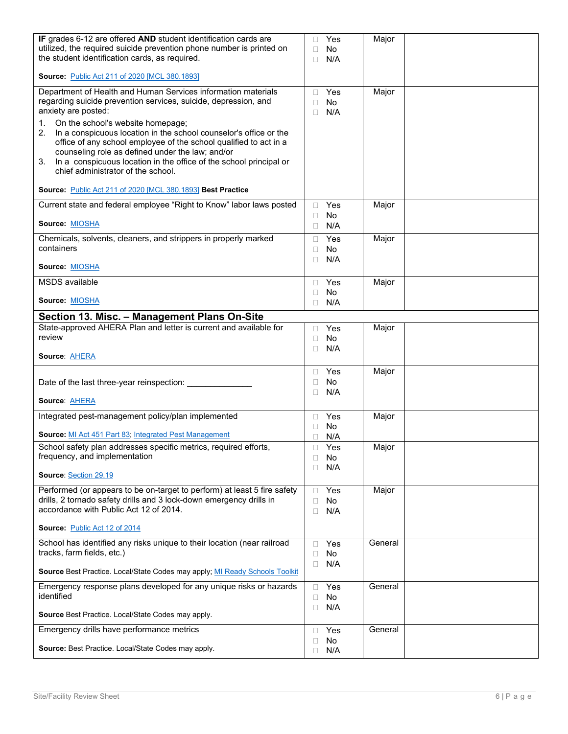| IF grades 6-12 are offered AND student identification cards are<br>utilized, the required suicide prevention phone number is printed on<br>the student identification cards, as required.                                                                                                                                                                                                                                                                                                                                | Yes<br>$\Box$<br>No<br>П<br>N/A<br>П   | Major   |  |
|--------------------------------------------------------------------------------------------------------------------------------------------------------------------------------------------------------------------------------------------------------------------------------------------------------------------------------------------------------------------------------------------------------------------------------------------------------------------------------------------------------------------------|----------------------------------------|---------|--|
| <b>Source: Public Act 211 of 2020 [MCL 380.1893]</b>                                                                                                                                                                                                                                                                                                                                                                                                                                                                     |                                        |         |  |
| Department of Health and Human Services information materials<br>regarding suicide prevention services, suicide, depression, and<br>anxiety are posted:<br>On the school's website homepage;<br>1.<br>In a conspicuous location in the school counselor's office or the<br>2.<br>office of any school employee of the school qualified to act in a<br>counseling role as defined under the law; and/or<br>In a conspicuous location in the office of the school principal or<br>3.<br>chief administrator of the school. | Yes<br>П<br><b>No</b><br>П<br>N/A<br>П | Major   |  |
| Source: Public Act 211 of 2020 [MCL 380.1893] Best Practice<br>Current state and federal employee "Right to Know" labor laws posted                                                                                                                                                                                                                                                                                                                                                                                      | Yes                                    | Major   |  |
| Source: MIOSHA                                                                                                                                                                                                                                                                                                                                                                                                                                                                                                           | 0<br>No<br>□<br>N/A<br>□               |         |  |
| Chemicals, solvents, cleaners, and strippers in properly marked<br>containers<br>Source: MIOSHA                                                                                                                                                                                                                                                                                                                                                                                                                          | Yes<br>□<br>No<br>□<br>N/A<br>П        | Major   |  |
| <b>MSDS</b> available                                                                                                                                                                                                                                                                                                                                                                                                                                                                                                    | Yes<br>□                               | Major   |  |
| Source: MIOSHA                                                                                                                                                                                                                                                                                                                                                                                                                                                                                                           | No<br>□<br>N/A<br>П                    |         |  |
| Section 13. Misc. - Management Plans On-Site                                                                                                                                                                                                                                                                                                                                                                                                                                                                             |                                        |         |  |
| State-approved AHERA Plan and letter is current and available for<br>review<br><b>Source AHERA</b>                                                                                                                                                                                                                                                                                                                                                                                                                       | Yes<br>0<br>No<br>$\Box$<br>N/A<br>П   | Major   |  |
| Date of the last three-year reinspection: ___________<br><b>Source AHERA</b>                                                                                                                                                                                                                                                                                                                                                                                                                                             | Yes<br>□<br>No<br>□<br>N/A<br>п        | Major   |  |
| Integrated pest-management policy/plan implemented                                                                                                                                                                                                                                                                                                                                                                                                                                                                       | Yes<br>$\Box$                          | Major   |  |
| <b>Source:</b> MI Act 451 Part 83, Integrated Pest Management                                                                                                                                                                                                                                                                                                                                                                                                                                                            | No<br>П<br>N/A<br>□                    |         |  |
| School safety plan addresses specific metrics, required efforts,<br>frequency, and implementation<br>Source: Section 29.19                                                                                                                                                                                                                                                                                                                                                                                               | $\Box$<br>Yes<br>□<br>No.<br>N/A<br>П  | Major   |  |
| Performed (or appears to be on-target to perform) at least 5 fire safety<br>drills, 2 tornado safety drills and 3 lock-down emergency drills in<br>accordance with Public Act 12 of 2014.                                                                                                                                                                                                                                                                                                                                | Yes<br>П<br>No<br>П<br>N/A<br>□        | Major   |  |
| Source: Public Act 12 of 2014                                                                                                                                                                                                                                                                                                                                                                                                                                                                                            |                                        |         |  |
| School has identified any risks unique to their location (near railroad<br>tracks, farm fields, etc.)                                                                                                                                                                                                                                                                                                                                                                                                                    | Yes<br>□<br>No<br>□<br>N/A<br>$\Box$   | General |  |
| Source Best Practice. Local/State Codes may apply; MI Ready Schools Toolkit                                                                                                                                                                                                                                                                                                                                                                                                                                              |                                        |         |  |
| Emergency response plans developed for any unique risks or hazards<br>identified                                                                                                                                                                                                                                                                                                                                                                                                                                         | Yes<br>$\Box$<br>No.<br>□<br>N/A<br>□  | General |  |
| Source Best Practice. Local/State Codes may apply.                                                                                                                                                                                                                                                                                                                                                                                                                                                                       |                                        |         |  |
| Emergency drills have performance metrics                                                                                                                                                                                                                                                                                                                                                                                                                                                                                | Yes<br>□                               | General |  |
| Source: Best Practice. Local/State Codes may apply.                                                                                                                                                                                                                                                                                                                                                                                                                                                                      | No<br>□<br>N/A<br>$\Box$               |         |  |